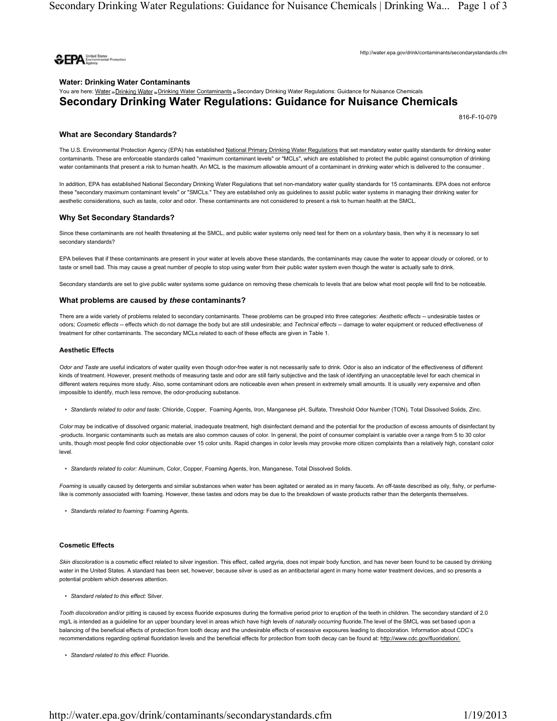

http://water.epa.gov/drink/contaminants/secondarystandards.cfm

# Water: Drinking Water Contaminants You are here: Water » Drinking Water » Drinking Water Contaminants » Secondary Drinking Water Regulations: Guidance for Nuisance Chemicals Secondary Drinking Water Regulations: Guidance for Nuisance Chemicals

816-F-10-079

## What are Secondary Standards?

The U.S. Environmental Protection Agency (EPA) has established National Primary Drinking Water Regulations that set mandatory water quality standards for drinking water contaminants. These are enforceable standards called "maximum contaminant levels" or "MCLs", which are established to protect the public against consumption of drinking water contaminants that present a risk to human health. An MCL is the maximum allowable amount of a contaminant in drinking water which is delivered to the consumer .

In addition, EPA has established National Secondary Drinking Water Regulations that set non-mandatory water quality standards for 15 contaminants. EPA does not enforce these "secondary maximum contaminant levels" or "SMCLs." They are established only as guidelines to assist public water systems in managing their drinking water for aesthetic considerations, such as taste, color and odor. These contaminants are not considered to present a risk to human health at the SMCL.

#### Why Set Secondary Standards?

Since these contaminants are not health threatening at the SMCL, and public water systems only need test for them on a voluntary basis, then why it is necessary to set secondary standards?

EPA believes that if these contaminants are present in your water at levels above these standards, the contaminants may cause the water to appear cloudy or colored, or to taste or smell bad. This may cause a great number of people to stop using water from their public water system even though the water is actually safe to drink.

Secondary standards are set to give public water systems some guidance on removing these chemicals to levels that are below what most people will find to be noticeable.

#### What problems are caused by these contaminants?

There are a wide variety of problems related to secondary contaminants. These problems can be grouped into three categories: Aesthetic effects -- undesirable tastes or odors; Cosmetic effects -- effects which do not damage the body but are still undesirable; and Technical effects -- damage to water equipment or reduced effectiveness of treatment for other contaminants. The secondary MCLs related to each of these effects are given in Table 1.

#### Aesthetic Effects

Odor and Taste are useful indicators of water quality even though odor-free water is not necessarily safe to drink. Odor is also an indicator of the effectiveness of different kinds of treatment. However, present methods of measuring taste and odor are still fairly subjective and the task of identifying an unacceptable level for each chemical in different waters requires more study. Also, some contaminant odors are noticeable even when present in extremely small amounts. It is usually very expensive and often impossible to identify, much less remove, the odor-producing substance.

• Standards related to odor and taste: Chloride, Copper, Foaming Agents, Iron, Manganese pH, Sulfate, Threshold Odor Number (TON), Total Dissolved Solids, Zinc.

Color may be indicative of dissolved organic material, inadequate treatment, high disinfectant demand and the potential for the production of excess amounts of disinfectant by -products. Inorganic contaminants such as metals are also common causes of color. In general, the point of consumer complaint is variable over a range from 5 to 30 color units, though most people find color objectionable over 15 color units. Rapid changes in color levels may provoke more citizen complaints than a relatively high, constant color level.

• Standards related to color: Aluminum, Color, Copper, Foaming Agents, Iron, Manganese, Total Dissolved Solids.

Foaming is usually caused by detergents and similar substances when water has been agitated or aerated as in many faucets. An off-taste described as oily, fishy, or perfumelike is commonly associated with foaming. However, these tastes and odors may be due to the breakdown of waste products rather than the detergents themselves.

• Standards related to foaming: Foaming Agents.

#### Cosmetic Effects

Skin discoloration is a cosmetic effect related to silver ingestion. This effect, called argyria, does not impair body function, and has never been found to be caused by drinking water in the United States. A standard has been set, however, because silver is used as an antibacterial agent in many home water treatment devices, and so presents a potential problem which deserves attention.

• Standard related to this effect: Silver.

Tooth discoloration and/or pitting is caused by excess fluoride exposures during the formative period prior to eruption of the teeth in children. The secondary standard of 2.0 mg/L is intended as a guideline for an upper boundary level in areas which have high levels of naturally occurring fluoride. The level of the SMCL was set based upon a balancing of the beneficial effects of protection from tooth decay and the undesirable effects of excessive exposures leading to discoloration. Information about CDC's recommendations regarding optimal fluoridation levels and the beneficial effects for protection from tooth decay can be found at: http://www.cdc.gov/fluoridation/.

• Standard related to this effect: Fluoride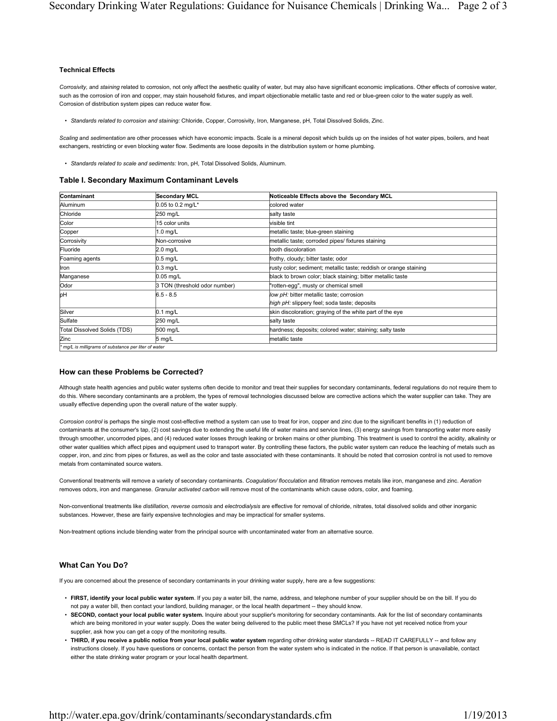### Technical Effects

Corrosivity, and staining related to corrosion, not only affect the aesthetic quality of water, but may also have significant economic implications. Other effects of corrosive water, such as the corrosion of iron and copper, may stain household fixtures, and impart objectionable metallic taste and red or blue-green color to the water supply as well. Corrosion of distribution system pipes can reduce water flow.

• Standards related to corrosion and staining: Chloride, Copper, Corrosivity, Iron, Manganese, pH, Total Dissolved Solids, Zinc.

Scaling and sedimentation are other processes which have economic impacts. Scale is a mineral deposit which builds up on the insides of hot water pipes, boilers, and heat exchangers, restricting or even blocking water flow. Sediments are loose deposits in the distribution system or home plumbing.

• Standards related to scale and sediments: Iron, pH, Total Dissolved Solids, Aluminum.

#### Table I. Secondary Maximum Contaminant Levels

| Contaminant                                        | <b>Secondary MCL</b>          | Noticeable Effects above the Secondary MCL                        |
|----------------------------------------------------|-------------------------------|-------------------------------------------------------------------|
| Aluminum                                           | 0.05 to 0.2 mg/L*             | colored water                                                     |
| Chloride                                           | 250 mg/L                      | salty taste                                                       |
| Color                                              | 15 color units                | visible tint                                                      |
| Copper                                             | 1.0 mg/L                      | metallic taste; blue-green staining                               |
| Corrosivity                                        | Non-corrosive                 | metallic taste; corroded pipes/ fixtures staining                 |
| Fluoride                                           | $2.0$ mg/L                    | tooth discoloration                                               |
| Foaming agents                                     | $0.5$ mg/L                    | frothy, cloudy; bitter taste; odor                                |
| Iron                                               | $0.3$ mg/L                    | rusty color; sediment; metallic taste; reddish or orange staining |
| Manganese                                          | $0.05$ mg/L                   | black to brown color; black staining; bitter metallic taste       |
| <b>Odor</b>                                        | 3 TON (threshold odor number) | "rotten-egg", musty or chemical smell                             |
| þН                                                 | $6.5 - 8.5$                   | low pH: bitter metallic taste; corrosion                          |
|                                                    |                               | high pH: slippery feel; soda taste; deposits                      |
| Silver                                             | $0.1$ mg/L                    | skin discoloration; graying of the white part of the eye          |
| Sulfate                                            | 250 mg/L                      | salty taste                                                       |
| Total Dissolved Solids (TDS)                       | 500 mg/L                      | hardness; deposits; colored water; staining; salty taste          |
| Zinc                                               | 5 mg/L                        | metallic taste                                                    |
| ma/L is milligrams of substance per liter of water |                               |                                                                   |

\* mg/L is milligrams of substance per liter of water

#### How can these Problems be Corrected?

Although state health agencies and public water systems often decide to monitor and treat their supplies for secondary contaminants, federal regulations do not require them to do this. Where secondary contaminants are a problem, the types of removal technologies discussed below are corrective actions which the water supplier can take. They are usually effective depending upon the overall nature of the water supply.

Corrosion control is perhaps the single most cost-effective method a system can use to treat for iron, copper and zinc due to the significant benefits in (1) reduction of contaminants at the consumer's tap, (2) cost savings due to extending the useful life of water mains and service lines, (3) energy savings from transporting water more easily through smoother, uncorroded pipes, and (4) reduced water losses through leaking or broken mains or other plumbing. This treatment is used to control the acidity, alkalinity or other water qualities which affect pipes and equipment used to transport water. By controlling these factors, the public water system can reduce the leaching of metals such as copper, iron, and zinc from pipes or fixtures, as well as the color and taste associated with these contaminants. It should be noted that corrosion control is not used to remove metals from contaminated source waters.

Conventional treatments will remove a variety of secondary contaminants. Coagulation/ flocculation and filtration removes metals like iron, manganese and zinc. Aeration removes odors, iron and manganese. Granular activated carbon will remove most of the contaminants which cause odors, color, and foaming.

Non-conventional treatments like distillation, reverse osmosis and electrodialysis are effective for removal of chloride, nitrates, total dissolved solids and other inorganic substances. However, these are fairly expensive technologies and may be impractical for smaller systems.

Non-treatment options include blending water from the principal source with uncontaminated water from an alternative source.

## What Can You Do?

If you are concerned about the presence of secondary contaminants in your drinking water supply, here are a few suggestions:

- FIRST, identify your local public water system. If you pay a water bill, the name, address, and telephone number of your supplier should be on the bill. If you do not pay a water bill, then contact your landlord, building manager, or the local health department -- they should know.
- SECOND, contact your local public water system. Inquire about your supplier's monitoring for secondary contaminants. Ask for the list of secondary contaminants which are being monitored in your water supply. Does the water being delivered to the public meet these SMCLs? If you have not yet received notice from your supplier, ask how you can get a copy of the monitoring results.
- THIRD, if you receive a public notice from your local public water system regarding other drinking water standards -- READ IT CAREFULLY -- and follow any instructions closely. If you have questions or concerns, contact the person from the water system who is indicated in the notice. If that person is unavailable, contact either the state drinking water program or your local health department.